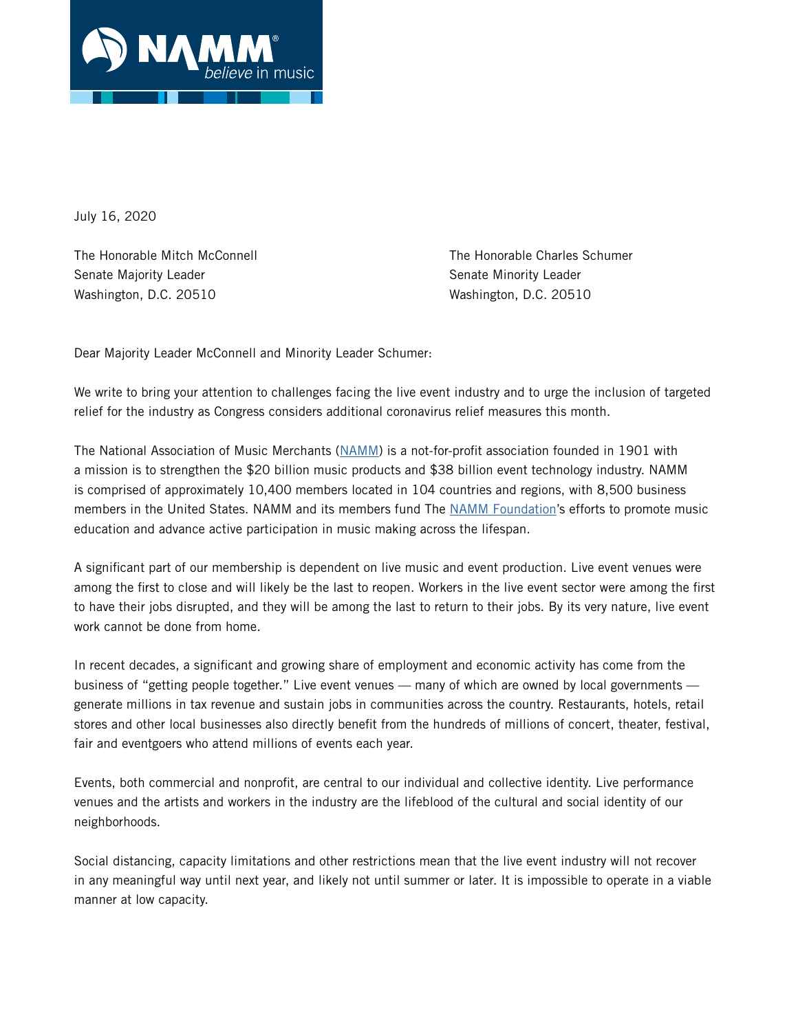

July 16, 2020

Senate Majority Leader Senate Minority Leader Senate Minority Leader Washington, D.C. 20510 Washington, D.C. 20510

The Honorable Mitch McConnell The Honorable Charles Schumer

Dear Majority Leader McConnell and Minority Leader Schumer:

We write to bring your attention to challenges facing the live event industry and to urge the inclusion of targeted relief for the industry as Congress considers additional coronavirus relief measures this month.

The National Association of Music Merchants ([NAMM\)](http://www.namm.org) is a not-for-profit association founded in 1901 with a mission is to strengthen the \$20 billion music products and \$38 billion event technology industry. NAMM is comprised of approximately 10,400 members located in 104 countries and regions, with 8,500 business members in the United States. NAMM and its members fund The [NAMM Foundation](http://www.nammfoundation.org)'s efforts to promote music education and advance active participation in music making across the lifespan.

A significant part of our membership is dependent on live music and event production. Live event venues were among the first to close and will likely be the last to reopen. Workers in the live event sector were among the first to have their jobs disrupted, and they will be among the last to return to their jobs. By its very nature, live event work cannot be done from home.

In recent decades, a significant and growing share of employment and economic activity has come from the business of "getting people together." Live event venues — many of which are owned by local governments generate millions in tax revenue and sustain jobs in communities across the country. Restaurants, hotels, retail stores and other local businesses also directly benefit from the hundreds of millions of concert, theater, festival, fair and eventgoers who attend millions of events each year.

Events, both commercial and nonprofit, are central to our individual and collective identity. Live performance venues and the artists and workers in the industry are the lifeblood of the cultural and social identity of our neighborhoods.

Social distancing, capacity limitations and other restrictions mean that the live event industry will not recover in any meaningful way until next year, and likely not until summer or later. It is impossible to operate in a viable manner at low capacity.